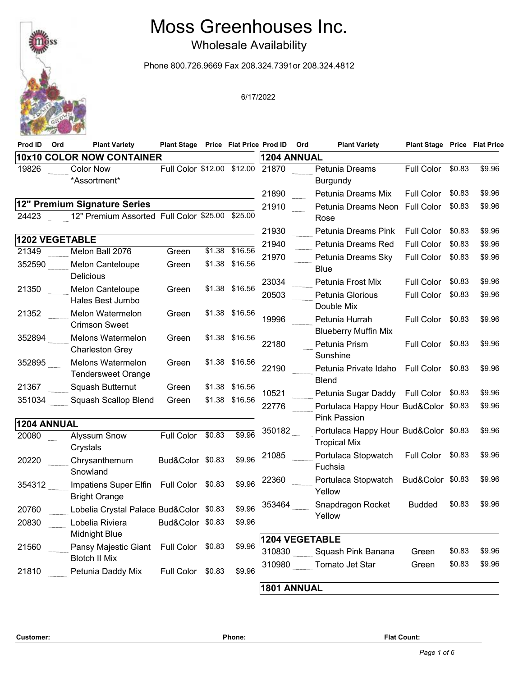## Moss Greenhouses Inc.

Wholesale Availability

Phone 800.726.9669 Fax 208.324.7391or 208.324.4812

| 19826       |                                                                 | Plant Stage Price Flat Price Prod ID |        |                |                    | Ord<br><b>Plant Variety</b>                                  | <b>Plant Stage Price Flat Price</b>    |        |                  |
|-------------|-----------------------------------------------------------------|--------------------------------------|--------|----------------|--------------------|--------------------------------------------------------------|----------------------------------------|--------|------------------|
|             | <b>10x10 COLOR NOW CONTAINER</b>                                |                                      |        |                | <b>1204 ANNUAL</b> |                                                              |                                        |        |                  |
|             | <b>Color Now</b><br>*Assortment*                                | Full Color \$12.00                   |        | \$12.00        | 21870              | Petunia Dreams<br><b>Burgundy</b><br>Petunia Dreams Mix      | Full Color                             | \$0.83 | \$9.96<br>\$9.96 |
|             | 12" Premium Signature Series                                    |                                      |        |                | 21890              |                                                              | <b>Full Color</b>                      | \$0.83 |                  |
| 24423       | 12" Premium Assorted Full Color \$25.00 \$25.00                 |                                      |        |                | 21910              | Petunia Dreams Neon<br>Rose                                  | <b>Full Color</b>                      | \$0.83 | \$9.96           |
|             | <b>1202 VEGETABLE</b>                                           |                                      |        |                | 21930              | Petunia Dreams Pink                                          | Full Color                             | \$0.83 | \$9.96           |
| 21349       | Melon Ball 2076                                                 | Green                                | \$1.38 | \$16.56        | 21940              | Petunia Dreams Red                                           | Full Color                             | \$0.83 | \$9.96           |
| 352590      | Melon Canteloupe<br>Delicious                                   | Green                                | \$1.38 | \$16.56        | 21970              | Petunia Dreams Sky<br><b>Blue</b>                            | Full Color                             | \$0.83 | \$9.96           |
| 21350       | Melon Canteloupe<br>Hales Best Jumbo                            | Green                                |        | \$1.38 \$16.56 | 23034<br>20503     | Petunia Frost Mix<br>Petunia Glorious<br>Double Mix          | <b>Full Color</b><br>Full Color \$0.83 | \$0.83 | \$9.96<br>\$9.96 |
| 21352       | <b>Melon Watermelon</b><br><b>Crimson Sweet</b>                 | Green                                |        | \$1.38 \$16.56 | 19996              | Petunia Hurrah<br><b>Blueberry Muffin Mix</b>                | Full Color                             | \$0.83 | \$9.96           |
| 352894      | Melons Watermelon<br><b>Charleston Grey</b>                     | Green                                |        | \$1.38 \$16.56 | 22180              | Petunia Prism<br>Sunshine                                    | <b>Full Color</b>                      | \$0.83 | \$9.96           |
| 352895      | Melons Watermelon<br><b>Tendersweet Orange</b>                  | Green                                |        | \$1.38 \$16.56 | 22190              | Petunia Private Idaho<br><b>Blend</b>                        | <b>Full Color</b>                      | \$0.83 | \$9.96           |
| 21367       | Squash Butternut                                                | Green                                |        | \$1.38 \$16.56 | 10521              | Petunia Sugar Daddy Full Color \$0.83                        |                                        |        | \$9.96           |
| 351034      | Squash Scallop Blend                                            | Green                                |        | \$1.38 \$16.56 | 22776              | Portulaca Happy Hour Bud&Color \$0.83<br><b>Pink Passion</b> |                                        |        | \$9.96           |
| 1204 ANNUAL |                                                                 |                                      |        |                | 350182             | Portulaca Happy Hour Bud&Color \$0.83                        |                                        |        | \$9.96           |
| 20080       | <b>Alyssum Snow</b><br>Crystals                                 | <b>Full Color</b>                    | \$0.83 | \$9.96         | 21085              | <b>Tropical Mix</b><br>Portulaca Stopwatch                   | Full Color \$0.83                      |        | \$9.96           |
| 20220       | Chrysanthemum<br>Snowland                                       | Bud&Color \$0.83                     |        | \$9.96         |                    | Fuchsia                                                      |                                        |        |                  |
| 354312      | Impatiens Super Elfin Full Color \$0.83<br><b>Bright Orange</b> |                                      |        | \$9.96         | 22360              | Portulaca Stopwatch<br>Yellow                                | Bud&Color \$0.83                       |        | \$9.96           |
| 20760       | Lobelia Crystal Palace Bud&Color \$0.83                         |                                      |        | \$9.96         | 353464             | Snapdragon Rocket                                            | <b>Budded</b>                          | \$0.83 | \$9.96           |
| 20830       | Lobelia Riviera<br>Midnight Blue                                | Bud&Color \$0.83                     |        | \$9.96         |                    | Yellow                                                       |                                        |        |                  |
| 21560       | Pansy Majestic Giant<br><b>Blotch II Mix</b>                    | Full Color                           | \$0.83 | \$9.96         | 310830             | <b>1204 VEGETABLE</b><br>Squash Pink Banana                  | Green                                  | \$0.83 | \$9.96           |
| 21810       | Petunia Daddy Mix                                               | Full Color \$0.83                    |        | \$9.96         | 310980             | Tomato Jet Star                                              | Green                                  | \$0.83 | \$9.96           |

**Customer: Phone: Flat Count:**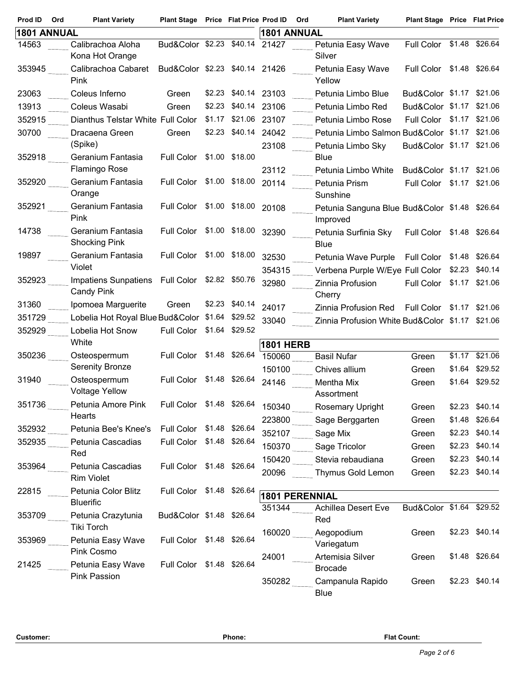| Prod ID<br>Ord | <b>Plant Variety</b>                                                | Plant Stage Price Flat Price Prod ID |        |                | Ord                   | <b>Plant Variety</b>                                      | <b>Plant Stage Price Flat Price</b> |        |                |
|----------------|---------------------------------------------------------------------|--------------------------------------|--------|----------------|-----------------------|-----------------------------------------------------------|-------------------------------------|--------|----------------|
| 1801 ANNUAL    |                                                                     |                                      |        |                | 1801 ANNUAL           |                                                           |                                     |        |                |
| 14563          | Calibrachoa Aloha<br>Kona Hot Orange                                | Bud&Color \$2.23 \$40.14             |        |                | 21427                 | Petunia Easy Wave<br>Silver                               | Full Color \$1.48 \$26.64           |        |                |
| 353945         | Calibrachoa Cabaret<br>Pink                                         | Bud&Color \$2.23 \$40.14 21426       |        |                |                       | Petunia Easy Wave<br>Yellow                               | Full Color \$1.48 \$26.64           |        |                |
| 23063          | Coleus Inferno                                                      | Green                                | \$2.23 | \$40.14        | 23103                 | Petunia Limbo Blue                                        | Bud&Color \$1.17 \$21.06            |        |                |
| 13913          | Coleus Wasabi                                                       | Green                                | \$2.23 | \$40.14        | 23106                 | Petunia Limbo Red                                         | Bud&Color \$1.17 \$21.06            |        |                |
| 352915         | Dianthus Telstar White Full Color                                   |                                      | \$1.17 | \$21.06        | 23107                 | Petunia Limbo Rose                                        | Full Color \$1.17 \$21.06           |        |                |
| 30700          | Dracaena Green                                                      | Green                                | \$2.23 | \$40.14        | 24042                 | Petunia Limbo Salmon Bud&Color \$1.17 \$21.06             |                                     |        |                |
|                | (Spike)                                                             |                                      |        |                | 23108                 | Petunia Limbo Sky                                         | Bud&Color \$1.17 \$21.06            |        |                |
| 352918         | Geranium Fantasia<br>Flamingo Rose                                  | Full Color \$1.00 \$18.00            |        |                | 23112                 | <b>Blue</b><br>Petunia Limbo White                        | Bud&Color \$1.17 \$21.06            |        |                |
| 352920         | Geranium Fantasia                                                   | <b>Full Color</b>                    |        | \$1.00 \$18.00 | 20114                 |                                                           |                                     |        |                |
|                | Orange                                                              |                                      |        |                |                       | Petunia Prism<br>Sunshine                                 | Full Color \$1.17 \$21.06           |        |                |
| 352921         | Geranium Fantasia<br>Pink                                           | Full Color \$1.00 \$18.00            |        |                | 20108                 | Petunia Sanguna Blue Bud&Color \$1.48 \$26.64<br>Improved |                                     |        |                |
| 14738          | Geranium Fantasia<br><b>Shocking Pink</b>                           | Full Color \$1.00 \$18.00            |        |                | 32390                 | Petunia Surfinia Sky<br><b>Blue</b>                       | Full Color \$1.48 \$26.64           |        |                |
| 19897          | Geranium Fantasia                                                   | Full Color \$1.00 \$18.00            |        |                | 32530                 | Petunia Wave Purple                                       | Full Color \$1.48 \$26.64           |        |                |
|                | Violet                                                              |                                      |        |                | 354315                | Verbena Purple W/Eye Full Color \$2.23                    |                                     |        | \$40.14        |
| 352923         | Impatiens Sunpatiens Full Color \$2.82 \$50.76<br><b>Candy Pink</b> |                                      |        |                | 32980                 | Zinnia Profusion<br>Cherry                                | Full Color \$1.17 \$21.06           |        |                |
| 31360          | Ipomoea Marguerite                                                  | Green                                |        | \$2.23 \$40.14 | 24017                 | Zinnia Profusion Red                                      | <b>Full Color</b>                   | \$1.17 | \$21.06        |
| 351729         | Lobelia Hot Royal Blue Bud&Color \$1.64                             |                                      |        | \$29.52        | 33040                 | Zinnia Profusion White Bud&Color \$1.17 \$21.06           |                                     |        |                |
| 352929         | Lobelia Hot Snow<br>White                                           | Full Color                           |        | \$1.64 \$29.52 | <b>1801 HERB</b>      |                                                           |                                     |        |                |
| 350236         | Osteospermum                                                        | Full Color                           | \$1.48 | \$26.64        | 150060                | <b>Basil Nufar</b>                                        | Green                               |        | \$1.17 \$21.06 |
|                | <b>Serenity Bronze</b>                                              |                                      |        |                | 150100                | Chives allium                                             | Green                               |        | \$1.64 \$29.52 |
| 31940          | Osteospermum<br><b>Voltage Yellow</b>                               | Full Color \$1.48 \$26.64            |        |                | 24146                 | Mentha Mix<br>Assortment                                  | Green                               | \$1.64 | \$29.52        |
| 351736         | Petunia Amore Pink                                                  | Full Color \$1.48 \$26.64            |        |                | 150340                | <b>Rosemary Upright</b>                                   | Green                               |        | \$2.23 \$40.14 |
|                | Hearts                                                              |                                      |        |                | 223800                | Sage Berggarten                                           | Green                               | \$1.48 | \$26.64        |
| 352932         | Petunia Bee's Knee's                                                | Full Color \$1.48 \$26.64            |        |                | 352107                | Sage Mix                                                  | Green                               | \$2.23 | \$40.14        |
| 352935         | Petunia Cascadias                                                   | Full Color \$1.48 \$26.64            |        |                | 150370                | Sage Tricolor                                             | Green                               | \$2.23 | \$40.14        |
|                | Red                                                                 |                                      |        |                | 150420                | Stevia rebaudiana                                         | Green                               | \$2.23 | \$40.14        |
| 353964         | Petunia Cascadias<br><b>Rim Violet</b>                              | Full Color \$1.48 \$26.64            |        |                | 20096                 | Thymus Gold Lemon                                         | Green                               | \$2.23 | \$40.14        |
| 22815          | Petunia Color Blitz                                                 | Full Color \$1.48 \$26.64            |        |                | <b>1801 PERENNIAL</b> |                                                           |                                     |        |                |
|                | <b>Bluerific</b>                                                    |                                      |        |                | 351344                | <b>Achillea Desert Eve</b>                                | Bud&Color \$1.64 \$29.52            |        |                |
| 353709         | Petunia Crazytunia<br><b>Tiki Torch</b>                             | Bud&Color \$1.48 \$26.64             |        |                | 160020                | Red<br>Aegopodium                                         | Green                               |        | \$2.23 \$40.14 |
| 353969         | Petunia Easy Wave<br>Pink Cosmo                                     | Full Color \$1.48 \$26.64            |        |                |                       | Variegatum                                                |                                     |        |                |
| 21425          | Petunia Easy Wave<br>Pink Passion                                   | Full Color \$1.48 \$26.64            |        |                | 24001                 | Artemisia Silver<br><b>Brocade</b>                        | Green                               |        | \$1.48 \$26.64 |
|                |                                                                     |                                      |        |                | 350282                | Campanula Rapido<br>Blue                                  | Green                               |        | \$2.23 \$40.14 |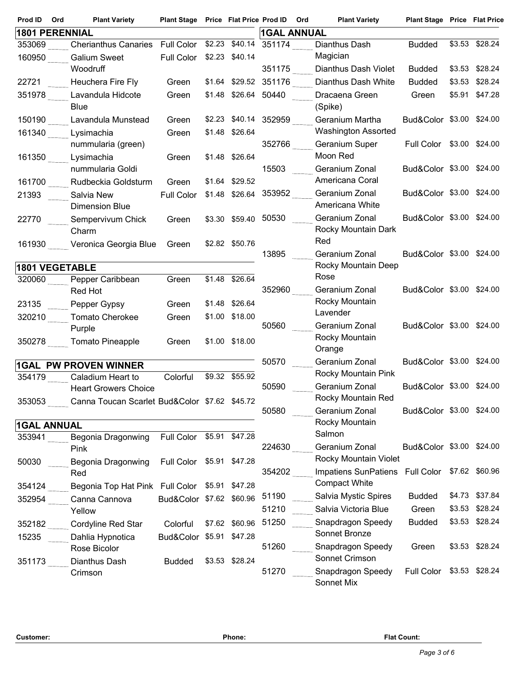| Prod ID | Ord<br><b>Plant Variety</b>                    | Plant Stage Price Flat Price Prod ID Ord |        |                |                    | <b>Plant Variety</b>                           | <b>Plant Stage Price Flat Price</b> |        |                |
|---------|------------------------------------------------|------------------------------------------|--------|----------------|--------------------|------------------------------------------------|-------------------------------------|--------|----------------|
|         | <b>1801 PERENNIAL</b>                          |                                          |        |                | <b>1GAL ANNUAL</b> |                                                |                                     |        |                |
| 353069  | <b>Cherianthus Canaries</b>                    | <b>Full Color</b>                        | \$2.23 | \$40.14        | 351174             | Dianthus Dash                                  | <b>Budded</b>                       | \$3.53 | \$28.24        |
| 160950  | <b>Galium Sweet</b>                            | Full Color                               |        | \$2.23 \$40.14 |                    | Magician                                       |                                     |        |                |
|         | Woodruff                                       |                                          |        |                | 351175             | Dianthus Dash Violet                           | <b>Budded</b>                       |        | \$3.53 \$28.24 |
| 22721   | Heuchera Fire Fly                              | Green                                    |        | \$1.64 \$29.52 | 351176             | Dianthus Dash White                            | <b>Budded</b>                       | \$3.53 | \$28.24        |
| 351978  | Lavandula Hidcote<br><b>Blue</b>               | Green                                    |        | \$1.48 \$26.64 | 50440              | Dracaena Green<br>(Spike)                      | Green                               |        | \$5.91 \$47.28 |
| 150190  | Lavandula Munstead                             | Green                                    | \$2.23 |                | \$40.14 352959     | Geranium Martha                                | Bud&Color \$3.00 \$24.00            |        |                |
| 161340  | Lysimachia                                     | Green                                    |        | \$1.48 \$26.64 |                    | <b>Washington Assorted</b>                     |                                     |        |                |
|         | nummularia (green)                             |                                          |        |                | 352766             | Geranium Super                                 | Full Color \$3.00 \$24.00           |        |                |
| 161350  | Lysimachia                                     | Green                                    | \$1.48 | \$26.64        |                    | Moon Red                                       |                                     |        |                |
|         | nummularia Goldi                               |                                          |        |                | 15503              | Geranium Zonal                                 | Bud&Color \$3.00 \$24.00            |        |                |
| 161700  | Rudbeckia Goldsturm                            | Green                                    |        | \$1.64 \$29.52 |                    | Americana Coral                                |                                     |        |                |
| 21393   | Salvia New                                     | <b>Full Color</b>                        |        | \$1.48 \$26.64 | 353952             | Geranium Zonal<br>Americana White              | Bud&Color \$3.00 \$24.00            |        |                |
|         | Dimension Blue                                 |                                          |        |                | 50530              | Geranium Zonal                                 | Bud&Color \$3.00 \$24.00            |        |                |
| 22770   | Sempervivum Chick<br>Charm                     | Green                                    |        | \$3.30 \$59.40 |                    | Rocky Mountain Dark                            |                                     |        |                |
| 161930  | Veronica Georgia Blue                          | Green                                    |        | \$2.82 \$50.76 |                    | Red                                            |                                     |        |                |
|         |                                                |                                          |        |                | 13895              | Geranium Zonal                                 | Bud&Color \$3.00 \$24.00            |        |                |
|         | <b>1801 VEGETABLE</b>                          |                                          |        |                |                    | Rocky Mountain Deep                            |                                     |        |                |
| 320060  | Pepper Caribbean                               | Green                                    | \$1.48 | \$26.64        |                    | Rose                                           |                                     |        |                |
|         | Red Hot                                        |                                          |        |                | 352960             | Geranium Zonal                                 | Bud&Color \$3.00 \$24.00            |        |                |
| 23135   | Pepper Gypsy                                   | Green                                    | \$1.48 | \$26.64        |                    | Rocky Mountain<br>Lavender                     |                                     |        |                |
| 320210  | Tomato Cherokee                                | Green                                    | \$1.00 | \$18.00        | 50560              | Geranium Zonal                                 | Bud&Color \$3.00 \$24.00            |        |                |
|         | Purple                                         |                                          |        | \$1.00 \$18.00 |                    | Rocky Mountain                                 |                                     |        |                |
| 350278  | <b>Tomato Pineapple</b>                        | Green                                    |        |                |                    | Orange                                         |                                     |        |                |
|         | <b>1GAL PW PROVEN WINNER</b>                   |                                          |        |                | 50570              | Geranium Zonal                                 | Bud&Color \$3.00 \$24.00            |        |                |
| 354179  | Caladium Heart to                              | Colorful                                 |        | \$9.32 \$55.92 |                    | Rocky Mountain Pink                            |                                     |        |                |
|         | <b>Heart Growers Choice</b>                    |                                          |        |                | 50590              | Geranium Zonal                                 | Bud&Color \$3.00 \$24.00            |        |                |
| 353053  | Canna Toucan Scarlet Bud&Color \$7.62 \$45.72  |                                          |        |                | 50580              | Rocky Mountain Red<br>Geranium Zonal           | Bud&Color \$3.00 \$24.00            |        |                |
|         |                                                |                                          |        |                |                    | Rocky Mountain                                 |                                     |        |                |
| 353941  | <b>1GAL ANNUAL</b><br>Begonia Dragonwing       | Full Color \$5.91 \$47.28                |        |                |                    | Salmon                                         |                                     |        |                |
|         | Pink                                           |                                          |        |                | 224630             | Geranium Zonal                                 | Bud&Color \$3.00 \$24.00            |        |                |
| 50030   | Begonia Dragonwing                             | Full Color \$5.91 \$47.28                |        |                |                    | Rocky Mountain Violet                          |                                     |        |                |
|         | Red                                            |                                          |        |                | 354202             | Impatiens SunPatiens Full Color \$7.62 \$60.96 |                                     |        |                |
| 354124  | Begonia Top Hat Pink Full Color \$5.91 \$47.28 |                                          |        |                |                    | <b>Compact White</b>                           |                                     |        |                |
| 352954  | Canna Cannova                                  | Bud&Color \$7.62 \$60.96                 |        |                | 51190              | Salvia Mystic Spires                           | <b>Budded</b>                       |        | \$4.73 \$37.84 |
|         | Yellow                                         |                                          |        |                | 51210              | Salvia Victoria Blue                           | Green                               | \$3.53 | \$28.24        |
| 352182  | Cordyline Red Star                             | Colorful                                 |        | \$7.62 \$60.96 | 51250              | Snapdragon Speedy                              | <b>Budded</b>                       |        | \$3.53 \$28.24 |
| 15235   | Dahlia Hypnotica                               | Bud&Color \$5.91 \$47.28                 |        |                | 51260              | Sonnet Bronze<br>Snapdragon Speedy             | Green                               |        | \$3.53 \$28.24 |
|         | Rose Bicolor                                   |                                          |        |                |                    | Sonnet Crimson                                 |                                     |        |                |
| 351173  | Dianthus Dash<br>Crimson                       | <b>Budded</b>                            |        | \$3.53 \$28.24 | 51270              | Snapdragon Speedy                              | Full Color                          |        | \$3.53 \$28.24 |
|         |                                                |                                          |        |                |                    | Sonnet Mix                                     |                                     |        |                |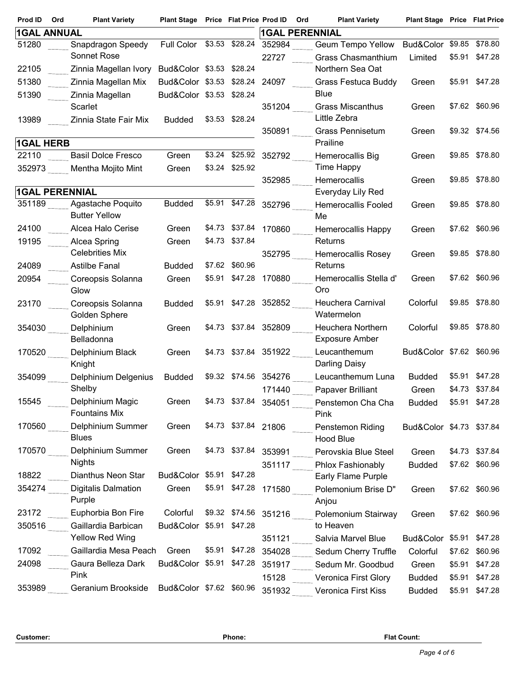| Prod ID               | Ord | <b>Plant Variety</b>                          | Plant Stage Price Flat Price Prod ID |                |                       | Ord | <b>Plant Variety</b>              | <b>Plant Stage Price Flat Price</b> |        |                |
|-----------------------|-----|-----------------------------------------------|--------------------------------------|----------------|-----------------------|-----|-----------------------------------|-------------------------------------|--------|----------------|
| <b>1GAL ANNUAL</b>    |     |                                               |                                      |                | <b>1GAL PERENNIAL</b> |     |                                   |                                     |        |                |
| 51280                 |     | Snapdragon Speedy                             | Full Color \$3.53 \$28.24            |                | 352984                |     | <b>Geum Tempo Yellow</b>          | Bud&Color \$9.85                    |        | \$78.80        |
|                       |     | Sonnet Rose                                   |                                      |                | 22727                 |     | Grass Chasmanthium                | Limited                             | \$5.91 | \$47.28        |
| 22105                 |     | Zinnia Magellan Ivory                         | Bud&Color \$3.53 \$28.24             |                |                       |     | Northern Sea Oat                  |                                     |        |                |
| 51380                 |     | Zinnia Magellan Mix                           | Bud&Color \$3.53 \$28.24             |                | 24097                 |     | <b>Grass Festuca Buddy</b>        | Green                               |        | \$5.91 \$47.28 |
| 51390                 |     | Zinnia Magellan                               | Bud&Color \$3.53 \$28.24             |                |                       |     | <b>Blue</b>                       |                                     |        |                |
|                       |     | Scarlet                                       |                                      |                | 351204                |     | <b>Grass Miscanthus</b>           | Green                               |        | \$7.62 \$60.96 |
| 13989                 |     | Zinnia State Fair Mix                         | <b>Budded</b>                        | \$3.53 \$28.24 |                       |     | Little Zebra                      |                                     |        |                |
|                       |     |                                               |                                      |                | 350891                |     | <b>Grass Pennisetum</b>           | Green                               |        | \$9.32 \$74.56 |
| <b>1GAL HERB</b>      |     |                                               |                                      |                |                       |     | Prailine                          |                                     |        |                |
| 22110                 |     | <b>Basil Dolce Fresco</b>                     | Green                                | \$3.24 \$25.92 | 352792                |     | Hemerocallis Big                  | Green                               |        | \$9.85 \$78.80 |
| 352973                |     | Mentha Mojito Mint                            | Green                                | \$3.24 \$25.92 |                       |     | Time Happy                        |                                     |        | \$9.85 \$78.80 |
| <b>1GAL PERENNIAL</b> |     |                                               |                                      |                | 352985                |     | Hemerocallis<br>Everyday Lily Red | Green                               |        |                |
| 351189                |     | Agastache Poquito                             | <b>Budded</b>                        | \$5.91 \$47.28 | 352796                |     | <b>Hemerocallis Fooled</b>        |                                     |        | \$9.85 \$78.80 |
|                       |     | <b>Butter Yellow</b>                          |                                      |                |                       |     | Me                                | Green                               |        |                |
| 24100                 |     | Alcea Halo Cerise                             | Green                                | \$4.73 \$37.84 | 170860                |     | <b>Hemerocallis Happy</b>         | Green                               |        | \$7.62 \$60.96 |
| 19195                 |     | Alcea Spring                                  | Green                                | \$4.73 \$37.84 |                       |     | Returns                           |                                     |        |                |
|                       |     | <b>Celebrities Mix</b>                        |                                      |                | 352795                |     | Hemerocallis Rosey                | Green                               |        | \$9.85 \$78.80 |
| 24089                 |     | <b>Astilbe Fanal</b>                          | <b>Budded</b>                        | \$7.62 \$60.96 |                       |     | Returns                           |                                     |        |                |
| 20954                 |     | Coreopsis Solanna                             | Green                                | \$5.91 \$47.28 | 170880                |     | Hemerocallis Stella d'            | Green                               |        | \$7.62 \$60.96 |
|                       |     | Glow                                          |                                      |                |                       |     | Oro                               |                                     |        |                |
| 23170                 |     | Coreopsis Solanna                             | <b>Budded</b>                        | \$5.91 \$47.28 | 352852                |     | Heuchera Carnival                 | Colorful                            |        | \$9.85 \$78.80 |
|                       |     | Golden Sphere                                 |                                      |                |                       |     | Watermelon                        |                                     |        |                |
| 354030                |     | Delphinium                                    | Green                                |                | \$4.73 \$37.84 352809 |     | Heuchera Northern                 | Colorful                            |        | \$9.85 \$78.80 |
|                       |     | Belladonna                                    |                                      |                |                       |     | <b>Exposure Amber</b>             |                                     |        |                |
| 170520                |     | Delphinium Black                              | Green                                |                | \$4.73 \$37.84 351922 |     | Leucanthemum                      | Bud&Color \$7.62 \$60.96            |        |                |
|                       |     | Knight                                        |                                      |                |                       |     | <b>Darling Daisy</b>              |                                     |        |                |
| 354099                |     | Delphinium Delgenius                          | <b>Budded</b>                        | \$9.32 \$74.56 | 354276                |     | Leucanthemum Luna                 | <b>Budded</b>                       | \$5.91 | \$47.28        |
|                       |     | Shelby                                        |                                      |                | 171440                |     | Papaver Brilliant                 | Green                               |        | \$4.73 \$37.84 |
| 15545                 |     | Delphinium Magic                              | Green                                | \$4.73 \$37.84 | 354051                |     | Penstemon Cha Cha                 | <b>Budded</b>                       |        | \$5.91 \$47.28 |
|                       |     | <b>Fountains Mix</b>                          |                                      |                |                       |     | Pink                              |                                     |        |                |
| 170560                |     | Delphinium Summer                             | Green                                | \$4.73 \$37.84 | 21806                 |     | Penstemon Riding                  | Bud&Color \$4.73 \$37.84            |        |                |
|                       |     | <b>Blues</b>                                  |                                      |                |                       |     | Hood Blue                         |                                     |        |                |
| 170570                |     | Delphinium Summer                             | Green                                | \$4.73 \$37.84 | 353991                |     | Perovskia Blue Steel              | Green                               |        | \$4.73 \$37.84 |
|                       |     | Nights                                        |                                      |                | 351117                |     | Phlox Fashionably                 | <b>Budded</b>                       |        | \$7.62 \$60.96 |
| 18822                 |     | Dianthus Neon Star                            | Bud&Color \$5.91 \$47.28             |                |                       |     | Early Flame Purple                |                                     |        |                |
| 354274                |     | <b>Digitalis Dalmation</b>                    | Green                                | \$5.91 \$47.28 | 171580                |     | Polemonium Brise D"               | Green                               |        | \$7.62 \$60.96 |
|                       |     | Purple                                        |                                      | \$9.32 \$74.56 |                       |     | Anjou                             |                                     |        |                |
| 23172                 |     | Euphorbia Bon Fire                            | Colorful                             |                | 351216                |     | Polemonium Stairway<br>to Heaven  | Green                               |        | \$7.62 \$60.96 |
| 350516                |     | Gaillardia Barbican<br><b>Yellow Red Wing</b> | Bud&Color \$5.91 \$47.28             |                |                       |     |                                   | Bud&Color \$5.91 \$47.28            |        |                |
| 17092                 |     | Gaillardia Mesa Peach                         | Green                                | \$5.91 \$47.28 | 351121                |     | Salvia Marvel Blue                |                                     |        |                |
| 24098                 |     | Gaura Belleza Dark                            | Bud&Color \$5.91 \$47.28             |                | 354028                |     | Sedum Cherry Truffle              | Colorful                            |        | \$7.62 \$60.96 |
|                       |     | Pink                                          |                                      |                | 351917                |     | Sedum Mr. Goodbud                 | Green                               |        | \$5.91 \$47.28 |
| 353989                |     | Geranium Brookside                            | Bud&Color \$7.62 \$60.96             |                | 15128                 |     | Veronica First Glory              | <b>Budded</b>                       |        | \$5.91 \$47.28 |
|                       |     |                                               |                                      |                | 351932                |     | Veronica First Kiss               | <b>Budded</b>                       |        | \$5.91 \$47.28 |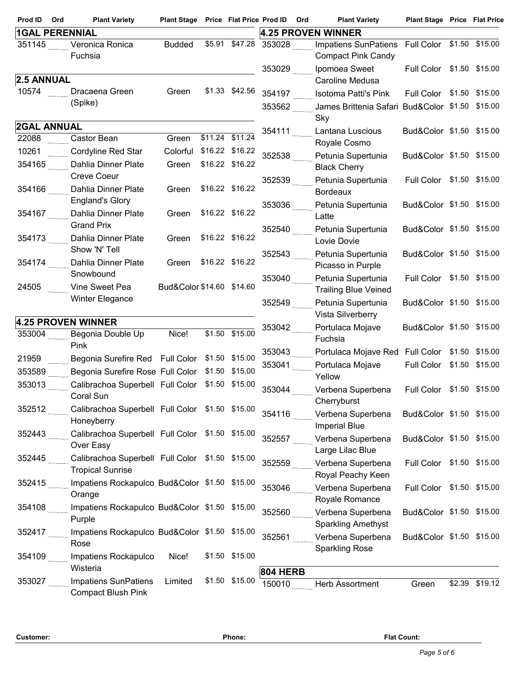| Prod ID               | Ord | <b>Plant Variety</b>                                     | Plant Stage Price Flat Price Prod ID |                 |                 | Ord | <b>Plant Variety</b>                            | <b>Plant Stage Price Flat Price</b> |                |
|-----------------------|-----|----------------------------------------------------------|--------------------------------------|-----------------|-----------------|-----|-------------------------------------------------|-------------------------------------|----------------|
| <b>1GAL PERENNIAL</b> |     |                                                          |                                      |                 |                 |     | 4.25 PROVEN WINNER                              |                                     |                |
| 351145                |     | Veronica Ronica                                          | <b>Budded</b>                        | \$5.91 \$47.28  | 353028          |     | <b>Impatiens SunPatiens</b>                     | Full Color \$1.50 \$15.00           |                |
|                       |     | Fuchsia                                                  |                                      |                 |                 |     | <b>Compact Pink Candy</b>                       |                                     |                |
|                       |     |                                                          |                                      |                 | 353029          |     | Ipomoea Sweet                                   | Full Color                          | \$1.50 \$15.00 |
| 2.5 ANNUAL            |     |                                                          |                                      |                 |                 |     | Caroline Medusa                                 |                                     |                |
| 10574                 |     | Dracaena Green                                           | Green                                | \$1.33 \$42.56  | 354197          |     | <b>Isotoma Patti's Pink</b>                     | Full Color \$1.50 \$15.00           |                |
|                       |     | (Spike)                                                  |                                      |                 | 353562          |     | James Brittenia Safari Bud&Color \$1.50 \$15.00 |                                     |                |
|                       |     |                                                          |                                      |                 |                 |     | Sky                                             |                                     |                |
| <b>2GAL ANNUAL</b>    |     |                                                          |                                      |                 | 354111          |     | Lantana Luscious                                | Bud&Color \$1.50 \$15.00            |                |
| 22088                 |     | Castor Bean                                              | Green                                | \$11.24 \$11.24 |                 |     | Royale Cosmo                                    |                                     |                |
| 10261                 |     | Cordyline Red Star                                       | Colorful                             | \$16.22 \$16.22 | 352538          |     | Petunia Supertunia                              | Bud&Color \$1.50 \$15.00            |                |
| 354165                |     | Dahlia Dinner Plate                                      | Green                                | \$16.22 \$16.22 |                 |     | <b>Black Cherry</b>                             |                                     |                |
|                       |     | <b>Creve Coeur</b>                                       |                                      |                 | 352539          |     | Petunia Supertunia                              | Full Color \$1.50 \$15.00           |                |
| 354166                |     | Dahlia Dinner Plate                                      | Green                                | \$16.22 \$16.22 |                 |     | <b>Bordeaux</b>                                 |                                     |                |
|                       |     | <b>England's Glory</b>                                   |                                      |                 | 353036          |     | Petunia Supertunia                              | Bud&Color \$1.50 \$15.00            |                |
| 354167                |     | Dahlia Dinner Plate<br><b>Grand Prix</b>                 | Green                                | \$16.22 \$16.22 |                 |     | Latte                                           |                                     |                |
| 354173                |     | Dahlia Dinner Plate                                      | Green                                | \$16.22 \$16.22 | 352540          |     | Petunia Supertunia                              | Bud&Color \$1.50 \$15.00            |                |
|                       |     | Show 'N' Tell                                            |                                      |                 |                 |     | Lovie Dovie                                     |                                     |                |
| 354174                |     | Dahlia Dinner Plate                                      | Green                                | \$16.22 \$16.22 | 352543          |     | Petunia Supertunia                              | Bud&Color \$1.50 \$15.00            |                |
|                       |     | Snowbound                                                |                                      |                 |                 |     | Picasso in Purple                               |                                     |                |
| 24505                 |     | Vine Sweet Pea                                           | Bud&Color \$14.60 \$14.60            |                 | 353040          |     | Petunia Supertunia                              | Full Color \$1.50 \$15.00           |                |
|                       |     | Winter Elegance                                          |                                      |                 |                 |     | <b>Trailing Blue Veined</b>                     |                                     |                |
|                       |     |                                                          |                                      |                 | 352549          |     | Petunia Supertunia                              | Bud&Color \$1.50 \$15.00            |                |
|                       |     | 4.25 PROVEN WINNER                                       |                                      |                 |                 |     | Vista Silverberry                               |                                     |                |
| 353004                |     | Begonia Double Up                                        | Nice!                                | \$1.50 \$15.00  | 353042          |     | Portulaca Mojave<br>Fuchsia                     | Bud&Color \$1.50 \$15.00            |                |
|                       |     | Pink                                                     |                                      |                 | 353043          |     |                                                 |                                     |                |
| 21959                 |     | Begonia Surefire Red Full Color                          |                                      | \$1.50 \$15.00  |                 |     | Portulaca Mojave Red Full Color \$1.50 \$15.00  | Full Color \$1.50 \$15.00           |                |
| 353589                |     | Begonia Surefire Rose Full Color \$1.50 \$15.00          |                                      |                 | 353041          |     | Portulaca Mojave<br>Yellow                      |                                     |                |
| 353013                |     | Calibrachoa Superbell Full Color \$1.50 \$15.00          |                                      |                 | 353044          |     | Verbena Superbena                               | Full Color \$1.50 \$15.00           |                |
|                       |     | Coral Sun                                                |                                      |                 |                 |     | Cherryburst                                     |                                     |                |
| 352512                |     | Calibrachoa Superbell Full Color \$1.50 \$15.00          |                                      |                 | 354116          |     | Verbena Superbena                               | Bud&Color \$1.50 \$15.00            |                |
|                       |     | Honeyberry                                               |                                      |                 |                 |     | <b>Imperial Blue</b>                            |                                     |                |
| 352443                |     | Calibrachoa Superbell Full Color \$1.50 \$15.00          |                                      |                 | 352557          |     | Verbena Superbena                               | Bud&Color \$1.50 \$15.00            |                |
|                       |     | Over Easy                                                |                                      |                 |                 |     | Large Lilac Blue                                |                                     |                |
| 352445                |     | Calibrachoa Superbell Full Color \$1.50 \$15.00          |                                      |                 | 352559          |     | Verbena Superbena                               | Full Color \$1.50 \$15.00           |                |
|                       |     | <b>Tropical Sunrise</b>                                  |                                      |                 |                 |     | Royal Peachy Keen                               |                                     |                |
| 352415                |     | Impatiens Rockapulco Bud&Color \$1.50 \$15.00            |                                      |                 | 353046          |     | Verbena Superbena                               | Full Color \$1.50 \$15.00           |                |
|                       |     | Orange                                                   |                                      |                 |                 |     | Royale Romance                                  |                                     |                |
| 354108                |     | Impatiens Rockapulco Bud&Color \$1.50 \$15.00            |                                      |                 | 352560          |     | Verbena Superbena                               | Bud&Color \$1.50 \$15.00            |                |
|                       |     | Purple                                                   |                                      |                 |                 |     | <b>Sparkling Amethyst</b>                       |                                     |                |
| 352417                |     | Impatiens Rockapulco Bud&Color \$1.50 \$15.00            |                                      |                 | 352561          |     | Verbena Superbena                               | Bud&Color \$1.50 \$15.00            |                |
|                       |     | Rose                                                     |                                      |                 |                 |     | <b>Sparkling Rose</b>                           |                                     |                |
| 354109                |     | Impatiens Rockapulco                                     | Nice!                                | \$1.50 \$15.00  |                 |     |                                                 |                                     |                |
|                       |     | Wisteria                                                 |                                      |                 | <b>804 HERB</b> |     |                                                 |                                     |                |
| 353027                |     | <b>Impatiens SunPatiens</b><br><b>Compact Blush Pink</b> | Limited                              | \$1.50 \$15.00  | 150010          |     | Herb Assortment                                 | Green                               | \$2.39 \$19.12 |
|                       |     |                                                          |                                      |                 |                 |     |                                                 |                                     |                |

**Customer: Phone: Flat Count:**